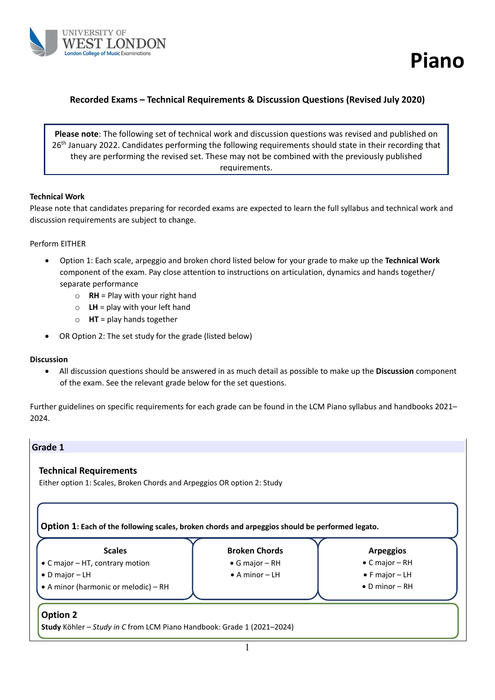



### **Recorded Exams – Technical Requirements & Discussion Questions (Revised July 2020)**

**Please note**: The following set of technical work and discussion questions was revised and published on 26<sup>th</sup> January 2022. Candidates performing the following requirements should state in their recording that they are performing the revised set. These may not be combined with the previously published requirements.

#### **Technical Work**

Please note that candidates preparing for recorded exams are expected to learn the full syllabus and technical work and discussion requirements are subject to change.

#### Perform EITHER

- Option 1: Each scale, arpeggio and broken chord listed below for your grade to make up the **Technical Work** component of the exam. Pay close attention to instructions on articulation, dynamics and hands together/ separate performance
	- o **RH** = Play with your right hand
	- $\circ$  **LH** = play with your left hand
	- o **HT** = play hands together
- OR Option 2: The set study for the grade (listed below)

#### **Discussion**

• All discussion questions should be answered in as much detail as possible to make up the **Discussion** component of the exam. See the relevant grade below for the set questions.

Further guidelines on specific requirements for each grade can be found in the LCM Piano syllabus and handbooks 2021– 2024.

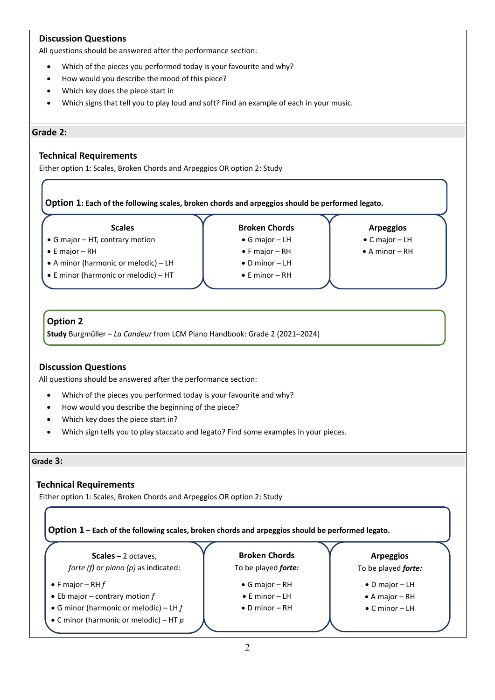# **Discussion Questions**

All questions should be answered after the performance section:

- Which of the pieces you performed today is your favourite and why?
- How would you describe the mood of this piece?
- Which key does the piece start in
- Which signs that tell you to play loud and soft? Find an example of each in your music.

#### **Grade 2:**

### **Technical Requirements**

Either option 1: Scales, Broken Chords and Arpeggios OR option 2: Study

**Option 1: Each of the following scales, broken chords and arpeggios should be performed legato.**

**Scales**

• G major – HT, contrary motion

- E major RH
- A minor (harmonic or melodic) LH
- E minor (harmonic or melodic) HT

**Broken Chords** • G major – LH • F major – RH • D minor – LH • E minor – RH

**Arpeggios**

- C major LH
- A minor RH

### **Option 2**

**Study** Burgmüller – *La Candeur* from LCM Piano Handbook: Grade 2 (2021–2024)

### **Discussion Questions**

All questions should be answered after the performance section:

- Which of the pieces you performed today is your favourite and why?
- How would you describe the beginning of the piece?
- Which key does the piece start in?
- Which sign tells you to play staccato and legato? Find some examples in your pieces.

#### **Grade 3:**

#### **Technical Requirements**

Either option 1: Scales, Broken Chords and Arpeggios OR option 2: Study

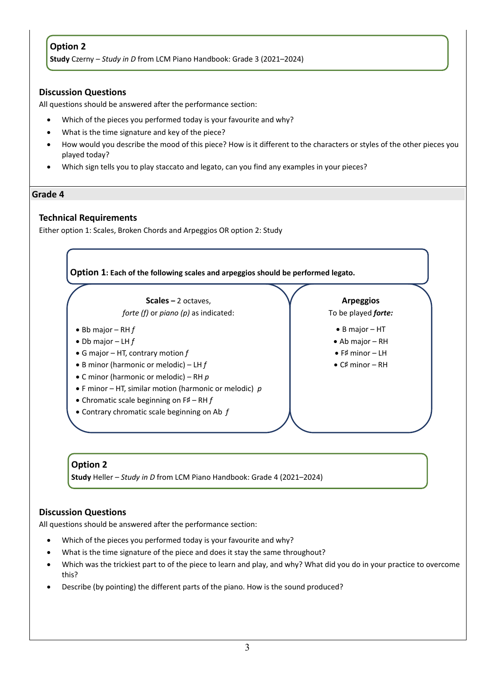# **Option 2**

**Study** Czerny – *Study in D* from LCM Piano Handbook: Grade 3 (2021–2024)

### **Discussion Questions**

All questions should be answered after the performance section:

- Which of the pieces you performed today is your favourite and why?
- What is the time signature and key of the piece?
- How would you describe the mood of this piece? How is it different to the characters or styles of the other pieces you played today?
- Which sign tells you to play staccato and legato, can you find any examples in your pieces?

### **Grade 4**

### **Technical Requirements**

Either option 1: Scales, Broken Chords and Arpeggios OR option 2: Study



## **Option 2**

**Study** Heller – *Study in D* from LCM Piano Handbook: Grade 4 (2021–2024)

### **Discussion Questions**

- Which of the pieces you performed today is your favourite and why?
- What is the time signature of the piece and does it stay the same throughout?
- Which was the trickiest part to of the piece to learn and play, and why? What did you do in your practice to overcome this?
- Describe (by pointing) the different parts of the piano. How is the sound produced?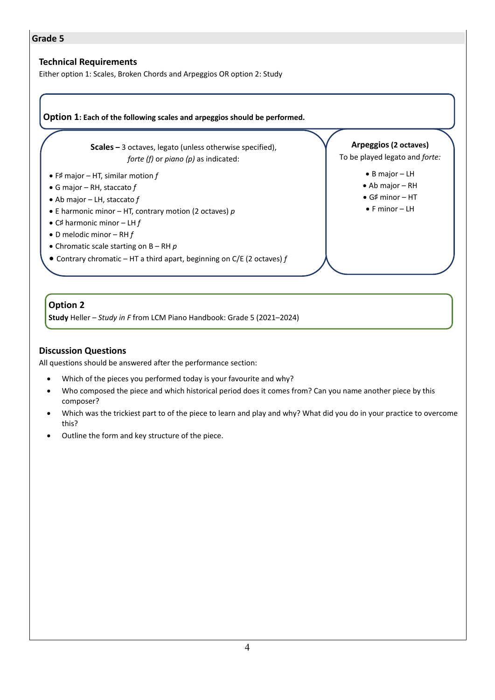## **Technical Requirements**

Either option 1: Scales, Broken Chords and Arpeggios OR option 2: Study

### **Option 1: Each of the following scales and arpeggios should be performed.**

**Scales –** 3 octaves, legato (unless otherwise specified), *forte (f)* or *piano (p)* as indicated:

- F♯ major HT, similar motion *f*
- G major RH, staccato *f*
- Ab major LH, staccato *f*
- E harmonic minor HT, contrary motion (2 octaves) *p*
- C♯ harmonic minor LH *f*
- D melodic minor RH *f*
- Chromatic scale starting on B RH *p*
- Contrary chromatic HT a third apart, beginning on C/E (2 octaves) *f*

### **Arpeggios (2 octaves)**

To be played legato and *forte:*

- B major LH
- Ab major RH
- G♯ minor HT
- F minor LH

# **Option 2**

**Study** Heller – *Study in F* from LCM Piano Handbook: Grade 5 (2021–2024)

### **Discussion Questions**

- Which of the pieces you performed today is your favourite and why?
- Who composed the piece and which historical period does it comes from? Can you name another piece by this composer?
- Which was the trickiest part to of the piece to learn and play and why? What did you do in your practice to overcome this?
- Outline the form and key structure of the piece.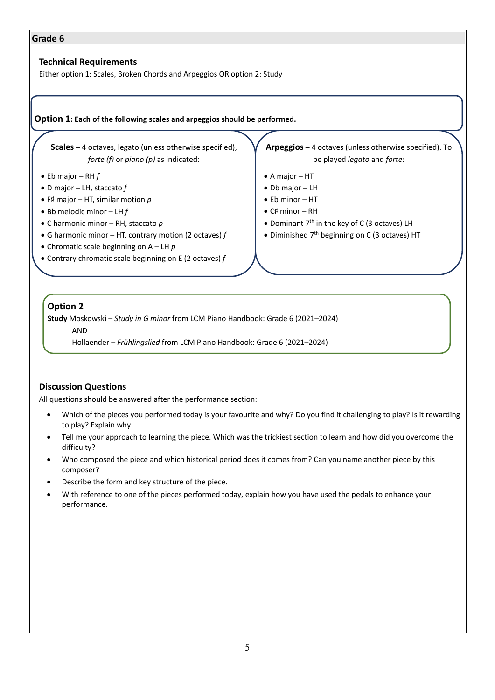### **Technical Requirements**

Either option 1: Scales, Broken Chords and Arpeggios OR option 2: Study

#### **Option 1: Each of the following scales and arpeggios should be performed.**

**Scales –** 4 octaves, legato (unless otherwise specified), *forte (f)* or *piano (p)* as indicated:

- Eb major RH *f*
- D major LH, staccato *f*
- F♯ major HT, similar motion *p*
- Bb melodic minor LH *f*
- C harmonic minor RH, staccato *p*
- G harmonic minor HT, contrary motion (2 octaves) *f*
- Chromatic scale beginning on A LH *p*
- Contrary chromatic scale beginning on E (2 octaves) *f*

**Arpeggios –** 4 octaves (unless otherwise specified). To be played *legato* and *forte:*

- A major HT
- Db major LH
- Eb minor HT
- C♯ minor RH
- Dominant  $7<sup>th</sup>$  in the key of C (3 octaves) LH
- Diminished  $7<sup>th</sup>$  beginning on C (3 octaves) HT

### **Option 2**

**Study** Moskowski – *Study in G minor* from LCM Piano Handbook: Grade 6 (2021–2024)

AND

Hollaender – *Frühlingslied* from LCM Piano Handbook: Grade 6 (2021–2024)

### **Discussion Questions**

- Which of the pieces you performed today is your favourite and why? Do you find it challenging to play? Is it rewarding to play? Explain why
- Tell me your approach to learning the piece. Which was the trickiest section to learn and how did you overcome the difficulty?
- Who composed the piece and which historical period does it comes from? Can you name another piece by this composer?
- Describe the form and key structure of the piece.
- With reference to one of the pieces performed today, explain how you have used the pedals to enhance your performance.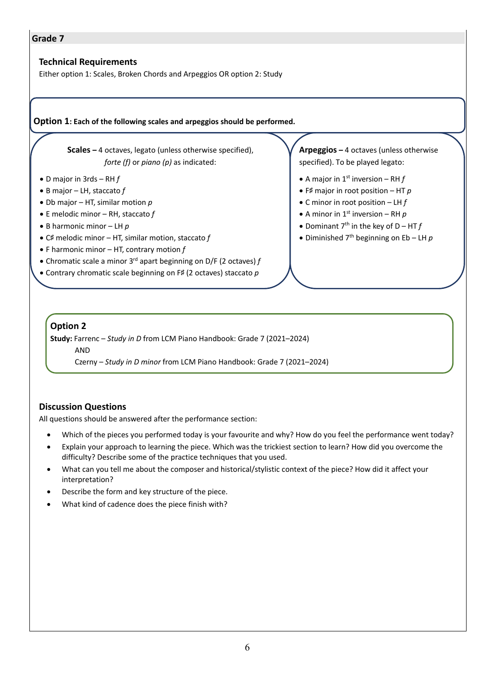### **Technical Requirements**

Either option 1: Scales, Broken Chords and Arpeggios OR option 2: Study

#### **Option 1: Each of the following scales and arpeggios should be performed.**

**Scales –** 4 octaves, legato (unless otherwise specified), *forte (f)* or *piano (p)* as indicated:

- D major in 3rds RH *f*
- B major LH, staccato *f*
- Db major HT, similar motion *p*
- E melodic minor RH, staccato *f*
- B harmonic minor LH *p*
- C♯ melodic minor HT, similar motion, staccato *f*
- F harmonic minor HT, contrary motion *f*
- Chromatic scale a minor 3rd apart beginning on D/F (2 octaves) *f*
- Contrary chromatic scale beginning on F♯ (2 octaves) staccato *p*

**Arpeggios –** 4 octaves (unless otherwise specified). To be played legato:

- A major in  $1<sup>st</sup>$  inversion RH  $f$
- F♯ major in root position HT *p*
- C minor in root position LH *f*
- A minor in  $1<sup>st</sup>$  inversion RH  $p$
- Dominant  $7<sup>th</sup>$  in the key of  $D HTf$
- Diminished 7th beginning on Eb LH *p*

## **Option 2**

**Study:** Farrenc – *Study in D* from LCM Piano Handbook: Grade 7 (2021–2024)

AND

Czerny – *Study in D minor* from LCM Piano Handbook: Grade 7 (2021–2024)

### **Discussion Questions**

- Which of the pieces you performed today is your favourite and why? How do you feel the performance went today?
- Explain your approach to learning the piece. Which was the trickiest section to learn? How did you overcome the difficulty? Describe some of the practice techniques that you used.
- What can you tell me about the composer and historical/stylistic context of the piece? How did it affect your interpretation?
- Describe the form and key structure of the piece.
- What kind of cadence does the piece finish with?